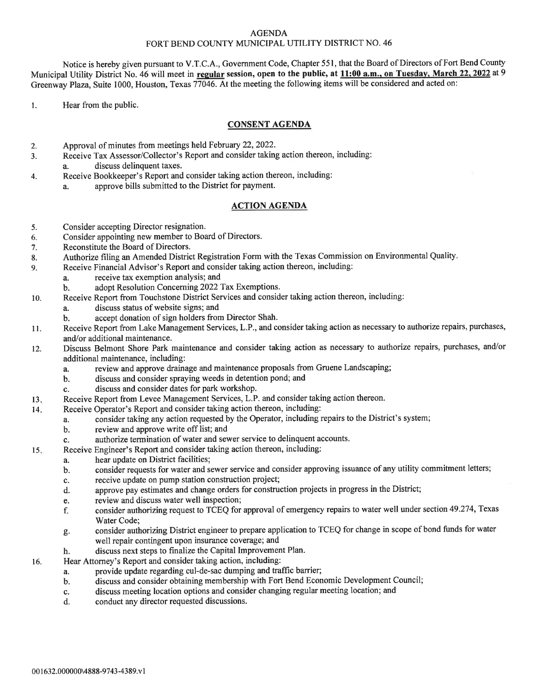## AGENDA FORT BEND COUNTY MUNICIPAL UTILITY DISTRICT NO. 46

Notice is hereby given pursuant to V.T.C.A., Government Code, Chapter 551, that the Board of Directors of Fort Bend County Municipal Utility District No. 46 will meet in regular session, open to the public, at 11:00 a.m., on Tuesday, March 22, 2022 at 9 Greenway Plaza, Suite 1000, Houston, Texas 77046. At the meeting the following items will be considered and acted on:

1. Hear from the public.

## CONSENT AGENDA

- Approval of minutes from meetings held February 22,2022. 2.
- Receive Tax Assessor/Collector's Report and consider taking action thereon, including: J.
	- discuss delinquent taxes.
- Receive Bookkeeper's Report and consider taking action thereon, including: 4.
	- a. approve bills submitted to the District for payment.

## ACTION AGENDA

- 5. Consider accepting Director resignation.
- 6. Consider appointing new member to Board of Directors.
- 7. Reconstitute the Board of Directors.
- 8. Authorize filing an Amended District Registration Form with the Texas Commission on Environmental Quality.
- 9. Receive Financial Advisor's Report and consider taking action thereon, including:
	- a. receive tax exemption analysis; and<br>b. adopt Resolution Concerning 2022
	- adopt Resolution Concerning 2022 Tax Exemptions.
- 10. Receive Report from Touchstone District Services and consider taking action thereon, including:
	- a. discuss status of website signs; and<br>b. accept donation of sign holders from
		- accept donation of sign holders from Director Shah.
- 11. Receive Report from Lake Management Services, L.P., and consider taking action as necessary to authorize repairs, purchases, and/or additional maintenance.
- t2. Discuss Belmont Shore Park maintenance and consider taking action as necessary to authorize repairs, purchases, and/or additional maintenance, including:
	- a. review and approve drainage and maintenance proposals from Gruene Landscaping;
	- b. discuss and consider spraying weeds in detention pond; and
	- c. discuss and consider dates for park workshop.
- Receive Report from Levee Management Services, L.P. and consider taking action thereon. l3
- Receive Operator's Report and consider taking action thereon, including: l4
	- a. consider taking any action requested by the Operator, including repairs to the District's system;
		- review and approve write off list; and
	- c. authorize termination of water and sewer service to delinquent accounts.
- Receive Engineer's Report and consider taking action thereon, including:  $15.$ 
	- a. hear update on District facilities;
		- b. consider requests for water and sewer service and consider approving issuance of any utility commitment letters;
		- c. receive update on pump station construction project;
		- d. approve pay estimates and change orders for construction projects in progress in the District;
		- e. review and discuss water well inspection;<br>f. consider authorizing request to TCEQ for
		- f. consider authorizing request to TCEQ for approval of emergency repairs to water well under section 49.274, Texas Water Code;
		- g. consider authorizing District engineer to prepare application to TCEQ for change in scope of bond funds for water well repair contingent upon insurance coverage; and
	- h. discuss next steps to finalize the Capital Improvement Plan.
- Hear Attorney's Report and consider taking action, including: t6.
	- a. provide update regarding cul-de-sac dumping and traffic barrier;
		- b. discuss and consider obtaining membership with Fort Bend Economic Development Council;
		- c. discuss meeting location options and consider changing regular meeting location; and
		- d. conduct any director requested discussions.